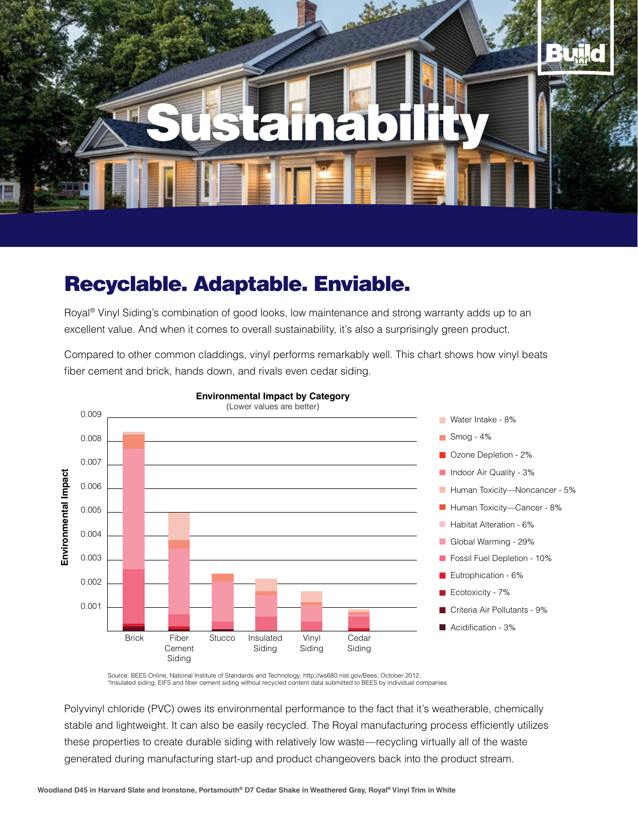

## Recyclable. Adaptable. Enviable.

Royal® Vinyl Siding's combination of good looks, low maintenance and strong warranty adds up to an excellent value. And when it comes to overall sustainability, it's also a surprisingly green product.

Compared to other common claddings, vinyl performs remarkably well. This chart shows how vinyl beats fiber cement and brick, hands down, and rivals even cedar siding.



### **Environmental Impact by Category**

Source: BEES Online, National Institute of Standards and Technology; http://ws680.nist.gov/Bees; October 2012. \*Insulated siding, EIFS and fiber cement siding without recycled content data submitted to BEES by individual companies.

Polyvinyl chloride (PVC) owes its environmental performance to the fact that it's weatherable, chemically stable and lightweight. It can also be easily recycled. The Royal manufacturing process efficiently utilizes these properties to create durable siding with relatively low waste—recycling virtually all of the waste generated during manufacturing start-up and product changeovers back into the product stream.